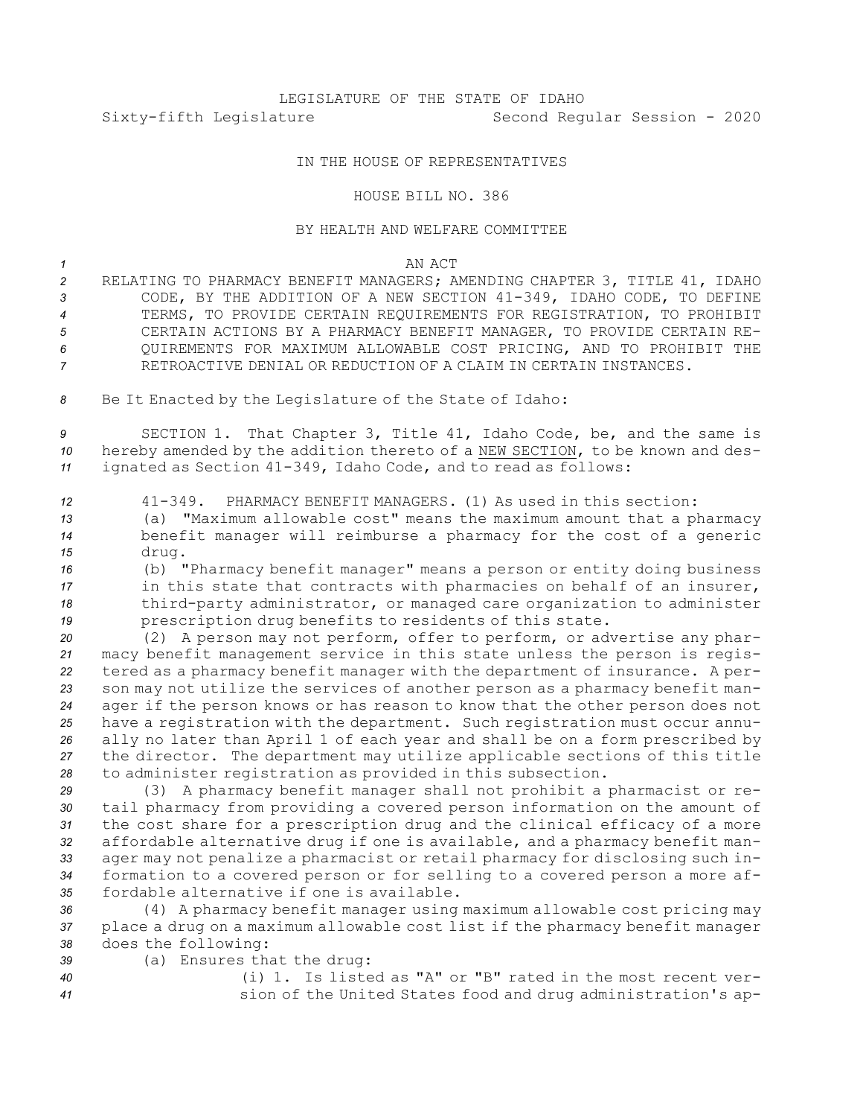# LEGISLATURE OF THE STATE OF IDAHO Sixty-fifth Legislature Second Regular Session - 2020

## IN THE HOUSE OF REPRESENTATIVES

### HOUSE BILL NO. 386

### BY HEALTH AND WELFARE COMMITTEE

#### *1* AN ACT

- *<sup>2</sup>* RELATING TO PHARMACY BENEFIT MANAGERS; AMENDING CHAPTER 3, TITLE 41, IDAHO *<sup>3</sup>* CODE, BY THE ADDITION OF A NEW SECTION 41-349, IDAHO CODE, TO DEFINE *4* TERMS, TO PROVIDE CERTAIN REQUIREMENTS FOR REGISTRATION, TO PROHIBIT *5* CERTAIN ACTIONS BY A PHARMACY BENEFIT MANAGER, TO PROVIDE CERTAIN RE-*6* QUIREMENTS FOR MAXIMUM ALLOWABLE COST PRICING, AND TO PROHIBIT THE *7* RETROACTIVE DENIAL OR REDUCTION OF A CLAIM IN CERTAIN INSTANCES.
- *<sup>8</sup>* Be It Enacted by the Legislature of the State of Idaho:

*<sup>9</sup>* SECTION 1. That Chapter 3, Title 41, Idaho Code, be, and the same is *<sup>10</sup>* hereby amended by the addition thereto of <sup>a</sup> NEW SECTION, to be known and des-*<sup>11</sup>* ignated as Section 41-349, Idaho Code, and to read as follows:

- *<sup>12</sup>* 41-349. PHARMACY BENEFIT MANAGERS. (1) As used in this section: *<sup>13</sup>* (a) "Maximum allowable cost" means the maximum amount that <sup>a</sup> pharmacy
- *<sup>14</sup>* benefit manager will reimburse <sup>a</sup> pharmacy for the cost of <sup>a</sup> generic *<sup>15</sup>* drug.
- *<sup>16</sup>* (b) "Pharmacy benefit manager" means <sup>a</sup> person or entity doing business 17 **in this state that contracts with pharmacies on behalf of an insurer,** *<sup>18</sup>* third-party administrator, or managed care organization to administer *<sup>19</sup>* prescription drug benefits to residents of this state.

 (2) <sup>A</sup> person may not perform, offer to perform, or advertise any phar- macy benefit management service in this state unless the person is regis- tered as <sup>a</sup> pharmacy benefit manager with the department of insurance. <sup>A</sup> per- son may not utilize the services of another person as <sup>a</sup> pharmacy benefit man- ager if the person knows or has reason to know that the other person does not have <sup>a</sup> registration with the department. Such registration must occur annu- ally no later than April 1 of each year and shall be on <sup>a</sup> form prescribed by the director. The department may utilize applicable sections of this title to administer registration as provided in this subsection.

 (3) <sup>A</sup> pharmacy benefit manager shall not prohibit <sup>a</sup> pharmacist or re- tail pharmacy from providing <sup>a</sup> covered person information on the amount of the cost share for <sup>a</sup> prescription drug and the clinical efficacy of <sup>a</sup> more affordable alternative drug if one is available, and <sup>a</sup> pharmacy benefit man- ager may not penalize <sup>a</sup> pharmacist or retail pharmacy for disclosing such in- formation to <sup>a</sup> covered person or for selling to <sup>a</sup> covered person <sup>a</sup> more af-fordable alternative if one is available.

*<sup>36</sup>* (4) <sup>A</sup> pharmacy benefit manager using maximum allowable cost pricing may *<sup>37</sup>* place <sup>a</sup> drug on <sup>a</sup> maximum allowable cost list if the pharmacy benefit manager *<sup>38</sup>* does the following:

*<sup>39</sup>* (a) Ensures that the drug:

*40* (i) 1. Is listed as "A" or "B" rated in the most recent ver-*<sup>41</sup>* sion of the United States food and drug administration's ap